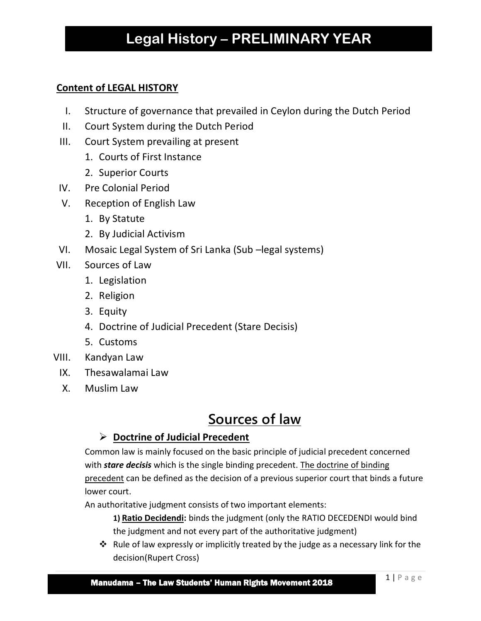# **Legal History – PRELIMINARY YEAR**

### **Content of LEGAL HISTORY**

- I. Structure of governance that prevailed in Ceylon during the Dutch Period
- II. Court System during the Dutch Period
- III. Court System prevailing at present
	- 1. Courts of First Instance
	- 2. Superior Courts
- IV. Pre Colonial Period
- V. Reception of English Law
	- 1. By Statute
	- 2. By Judicial Activism
- VI. Mosaic Legal System of Sri Lanka (Sub –legal systems)
- VII. Sources of Law
	- 1. Legislation
	- 2. Religion
	- 3. Equity
	- 4. Doctrine of Judicial Precedent (Stare Decisis)
	- 5. Customs
- VIII. Kandyan Law
	- IX. Thesawalamai Law
	- X. Muslim Law

## **Sources of law**

## **Doctrine of Judicial Precedent**

Common law is mainly focused on the basic principle of judicial precedent concerned with *stare decisis* which is the single binding precedent. The doctrine of binding precedent can be defined as the decision of a previous superior court that binds a future lower court.

An authoritative judgment consists of two important elements:

- **1) Ratio Decidendi:** binds the judgment (only the RATIO DECEDENDI would bind the judgment and not every part of the authoritative judgment)
- $\cdot \cdot$  Rule of law expressly or implicitly treated by the judge as a necessary link for the decision(Rupert Cross)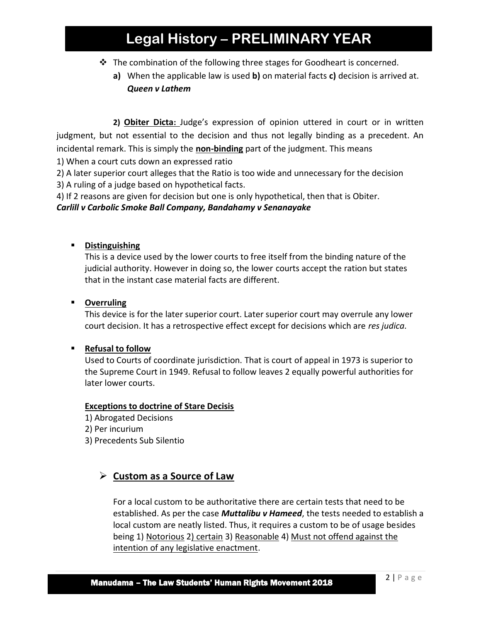## **Legal History – PRELIMINARY YEAR**

- \* The combination of the following three stages for Goodheart is concerned.
	- **a)** When the applicable law is used **b)** on material facts **c)** decision is arrived at. *Queen v Lathem*

 **2) Obiter Dicta:** Judge's expression of opinion uttered in court or in written judgment, but not essential to the decision and thus not legally binding as a precedent. An incidental remark. This is simply the **non-binding** part of the judgment. This means

1) When a court cuts down an expressed ratio

2) A later superior court alleges that the Ratio is too wide and unnecessary for the decision

3) A ruling of a judge based on hypothetical facts.

4) If 2 reasons are given for decision but one is only hypothetical, then that is Obiter.

*Carlill v Carbolic Smoke Ball Company, Bandahamy v Senanayake*

#### **Distinguishing**

This is a device used by the lower courts to free itself from the binding nature of the judicial authority. However in doing so, the lower courts accept the ration but states that in the instant case material facts are different.

#### **Overruling**

This device is for the later superior court. Later superior court may overrule any lower court decision. It has a retrospective effect except for decisions which are *res judica.*

#### **Refusal to follow**

Used to Courts of coordinate jurisdiction. That is court of appeal in 1973 is superior to the Supreme Court in 1949. Refusal to follow leaves 2 equally powerful authorities for later lower courts.

#### **Exceptions to doctrine of Stare Decisis**

- 1) Abrogated Decisions
- 2) Per incurium
- 3) Precedents Sub Silentio

## **Custom as a Source of Law**

For a local custom to be authoritative there are certain tests that need to be established. As per the case *Muttalibu v Hameed*, the tests needed to establish a local custom are neatly listed. Thus, it requires a custom to be of usage besides being 1) Notorious 2) certain 3) Reasonable 4) Must not offend against the intention of any legislative enactment.